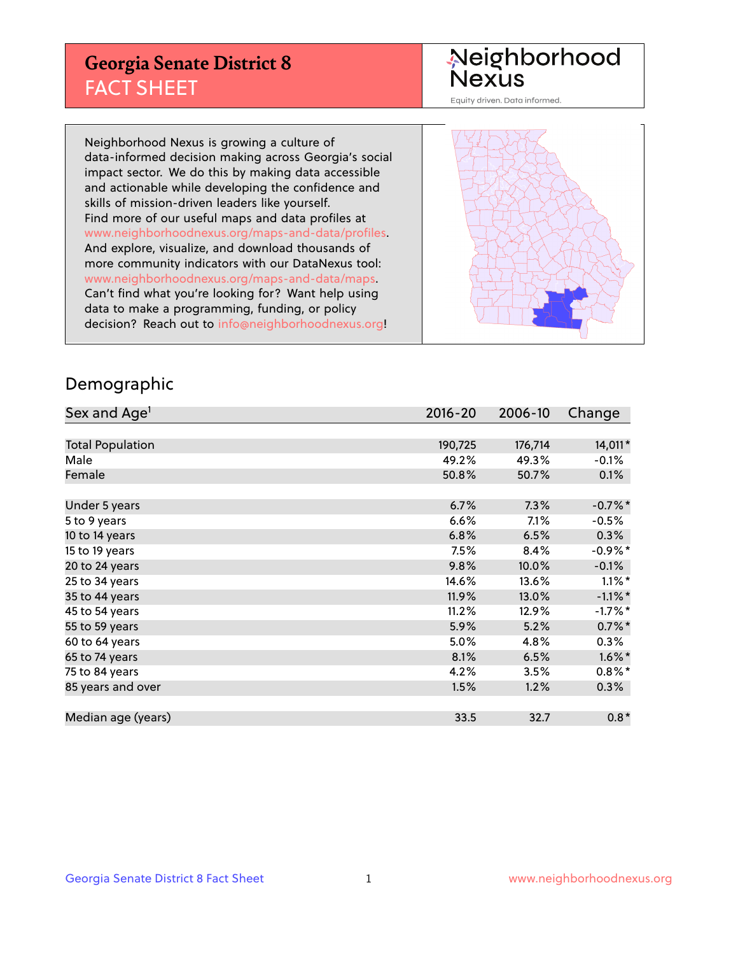#### **Georgia Senate District 8** FACT SHEET

# Neighborhood<br>Nexus

Equity driven. Data informed.

Neighborhood Nexus is growing a culture of data-informed decision making across Georgia's social impact sector. We do this by making data accessible and actionable while developing the confidence and skills of mission-driven leaders like yourself. Find more of our useful maps and data profiles at www.neighborhoodnexus.org/maps-and-data/profiles. And explore, visualize, and download thousands of more community indicators with our DataNexus tool: www.neighborhoodnexus.org/maps-and-data/maps. Can't find what you're looking for? Want help using data to make a programming, funding, or policy decision? Reach out to [info@neighborhoodnexus.org!](mailto:info@neighborhoodnexus.org)



#### Demographic

| Sex and Age <sup>1</sup> | $2016 - 20$ | 2006-10 | Change     |
|--------------------------|-------------|---------|------------|
|                          |             |         |            |
| <b>Total Population</b>  | 190,725     | 176,714 | 14,011*    |
| Male                     | 49.2%       | 49.3%   | $-0.1%$    |
| Female                   | 50.8%       | 50.7%   | 0.1%       |
|                          |             |         |            |
| Under 5 years            | 6.7%        | 7.3%    | $-0.7%$ *  |
| 5 to 9 years             | 6.6%        | 7.1%    | $-0.5\%$   |
| 10 to 14 years           | 6.8%        | 6.5%    | 0.3%       |
| 15 to 19 years           | 7.5%        | 8.4%    | $-0.9%$ *  |
| 20 to 24 years           | 9.8%        | 10.0%   | $-0.1%$    |
| 25 to 34 years           | 14.6%       | 13.6%   | $1.1\%$ *  |
| 35 to 44 years           | 11.9%       | 13.0%   | $-1.1\%$ * |
| 45 to 54 years           | 11.2%       | 12.9%   | $-1.7%$ *  |
| 55 to 59 years           | 5.9%        | 5.2%    | $0.7\%$ *  |
| 60 to 64 years           | $5.0\%$     | 4.8%    | $0.3\%$    |
| 65 to 74 years           | 8.1%        | 6.5%    | $1.6\%$ *  |
| 75 to 84 years           | 4.2%        | 3.5%    | $0.8\%$ *  |
| 85 years and over        | 1.5%        | 1.2%    | 0.3%       |
|                          |             |         |            |
| Median age (years)       | 33.5        | 32.7    | $0.8*$     |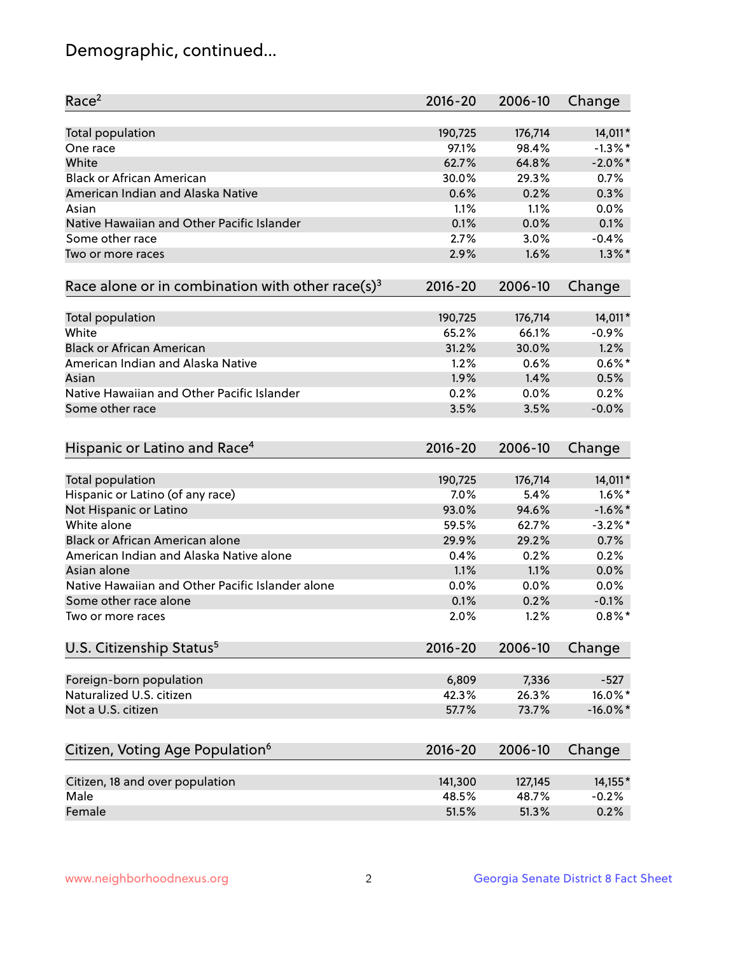# Demographic, continued...

| Race <sup>2</sup>                                            | $2016 - 20$ | 2006-10 | Change      |
|--------------------------------------------------------------|-------------|---------|-------------|
| <b>Total population</b>                                      | 190,725     | 176,714 | 14,011*     |
| One race                                                     | 97.1%       | 98.4%   | $-1.3\%$ *  |
| White                                                        | 62.7%       | 64.8%   | $-2.0\%$ *  |
| <b>Black or African American</b>                             | 30.0%       | 29.3%   | 0.7%        |
| American Indian and Alaska Native                            | 0.6%        | 0.2%    | 0.3%        |
| Asian                                                        | 1.1%        | 1.1%    | 0.0%        |
| Native Hawaiian and Other Pacific Islander                   | 0.1%        | 0.0%    | 0.1%        |
| Some other race                                              | 2.7%        | 3.0%    | $-0.4%$     |
| Two or more races                                            | 2.9%        | 1.6%    | $1.3\%$ *   |
| Race alone or in combination with other race(s) <sup>3</sup> | $2016 - 20$ | 2006-10 | Change      |
|                                                              |             |         |             |
| Total population                                             | 190,725     | 176,714 | 14,011*     |
| White                                                        | 65.2%       | 66.1%   | $-0.9%$     |
| <b>Black or African American</b>                             | 31.2%       | 30.0%   | 1.2%        |
| American Indian and Alaska Native                            | 1.2%        | 0.6%    | $0.6\%$ *   |
| Asian                                                        | 1.9%        | 1.4%    | 0.5%        |
| Native Hawaiian and Other Pacific Islander                   | 0.2%        | 0.0%    | 0.2%        |
| Some other race                                              | 3.5%        | 3.5%    | $-0.0%$     |
| Hispanic or Latino and Race <sup>4</sup>                     | $2016 - 20$ | 2006-10 | Change      |
| Total population                                             | 190,725     | 176,714 | 14,011*     |
| Hispanic or Latino (of any race)                             | 7.0%        | 5.4%    | $1.6\%$ *   |
|                                                              | 93.0%       | 94.6%   | $-1.6\%$ *  |
| Not Hispanic or Latino<br>White alone                        |             |         |             |
|                                                              | 59.5%       | 62.7%   | $-3.2\%$ *  |
| Black or African American alone                              | 29.9%       | 29.2%   | 0.7%        |
| American Indian and Alaska Native alone                      | 0.4%        | 0.2%    | 0.2%        |
| Asian alone                                                  | 1.1%        | 1.1%    | 0.0%        |
| Native Hawaiian and Other Pacific Islander alone             | 0.0%        | 0.0%    | 0.0%        |
| Some other race alone                                        | 0.1%        | 0.2%    | $-0.1%$     |
| Two or more races                                            | 2.0%        | 1.2%    | $0.8\%$ *   |
| U.S. Citizenship Status <sup>5</sup>                         | $2016 - 20$ | 2006-10 | Change      |
| Foreign-born population                                      | 6,809       | 7,336   | $-527$      |
| Naturalized U.S. citizen                                     | 42.3%       | 26.3%   | 16.0%*      |
| Not a U.S. citizen                                           | 57.7%       | 73.7%   | $-16.0\%$ * |
|                                                              |             |         |             |
| Citizen, Voting Age Population <sup>6</sup>                  | 2016-20     | 2006-10 | Change      |
| Citizen, 18 and over population                              | 141,300     | 127,145 | 14,155*     |
| Male                                                         | 48.5%       | 48.7%   | $-0.2%$     |
| Female                                                       | 51.5%       | 51.3%   | 0.2%        |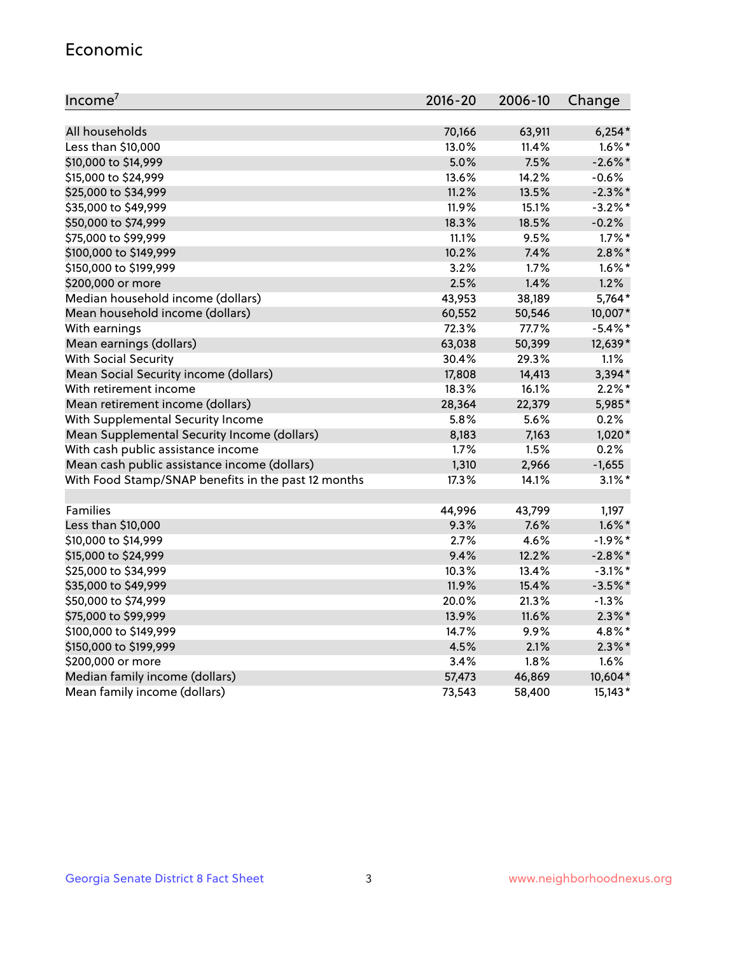#### Economic

| Income <sup>7</sup>                                 | 2016-20 | 2006-10 | Change     |
|-----------------------------------------------------|---------|---------|------------|
|                                                     |         |         |            |
| All households                                      | 70,166  | 63,911  | $6,254*$   |
| Less than \$10,000                                  | 13.0%   | 11.4%   | $1.6\%$ *  |
| \$10,000 to \$14,999                                | 5.0%    | 7.5%    | $-2.6\%$ * |
| \$15,000 to \$24,999                                | 13.6%   | 14.2%   | $-0.6%$    |
| \$25,000 to \$34,999                                | 11.2%   | 13.5%   | $-2.3%$ *  |
| \$35,000 to \$49,999                                | 11.9%   | 15.1%   | $-3.2%$ *  |
| \$50,000 to \$74,999                                | 18.3%   | 18.5%   | $-0.2%$    |
| \$75,000 to \$99,999                                | 11.1%   | 9.5%    | $1.7\%$ *  |
| \$100,000 to \$149,999                              | 10.2%   | 7.4%    | $2.8\%$ *  |
| \$150,000 to \$199,999                              | 3.2%    | 1.7%    | $1.6\%$ *  |
| \$200,000 or more                                   | 2.5%    | 1.4%    | 1.2%       |
| Median household income (dollars)                   | 43,953  | 38,189  | 5,764*     |
| Mean household income (dollars)                     | 60,552  | 50,546  | 10,007*    |
| With earnings                                       | 72.3%   | 77.7%   | $-5.4\%$ * |
| Mean earnings (dollars)                             | 63,038  | 50,399  | 12,639*    |
| <b>With Social Security</b>                         | 30.4%   | 29.3%   | 1.1%       |
| Mean Social Security income (dollars)               | 17,808  | 14,413  | $3,394*$   |
| With retirement income                              | 18.3%   | 16.1%   | $2.2\%$ *  |
| Mean retirement income (dollars)                    | 28,364  | 22,379  | 5,985*     |
| With Supplemental Security Income                   | 5.8%    | 5.6%    | 0.2%       |
| Mean Supplemental Security Income (dollars)         | 8,183   | 7,163   | $1,020*$   |
| With cash public assistance income                  | 1.7%    | 1.5%    | 0.2%       |
| Mean cash public assistance income (dollars)        | 1,310   | 2,966   | $-1,655$   |
| With Food Stamp/SNAP benefits in the past 12 months | 17.3%   | 14.1%   | $3.1\%$ *  |
|                                                     |         |         |            |
| Families                                            | 44,996  | 43,799  | 1,197      |
| Less than \$10,000                                  | 9.3%    | 7.6%    | $1.6\%$ *  |
| \$10,000 to \$14,999                                | 2.7%    | 4.6%    | $-1.9%$ *  |
| \$15,000 to \$24,999                                | 9.4%    | 12.2%   | $-2.8\%$ * |
| \$25,000 to \$34,999                                | 10.3%   | 13.4%   | $-3.1\%$ * |
| \$35,000 to \$49,999                                | 11.9%   | 15.4%   | $-3.5%$ *  |
| \$50,000 to \$74,999                                | 20.0%   | 21.3%   | $-1.3%$    |
| \$75,000 to \$99,999                                | 13.9%   | 11.6%   | $2.3\%$ *  |
| \$100,000 to \$149,999                              | 14.7%   | 9.9%    | 4.8%*      |
| \$150,000 to \$199,999                              | 4.5%    | 2.1%    | $2.3\%$ *  |
| \$200,000 or more                                   | 3.4%    | 1.8%    | 1.6%       |
| Median family income (dollars)                      | 57,473  | 46,869  | 10,604*    |
| Mean family income (dollars)                        | 73,543  | 58,400  | 15,143*    |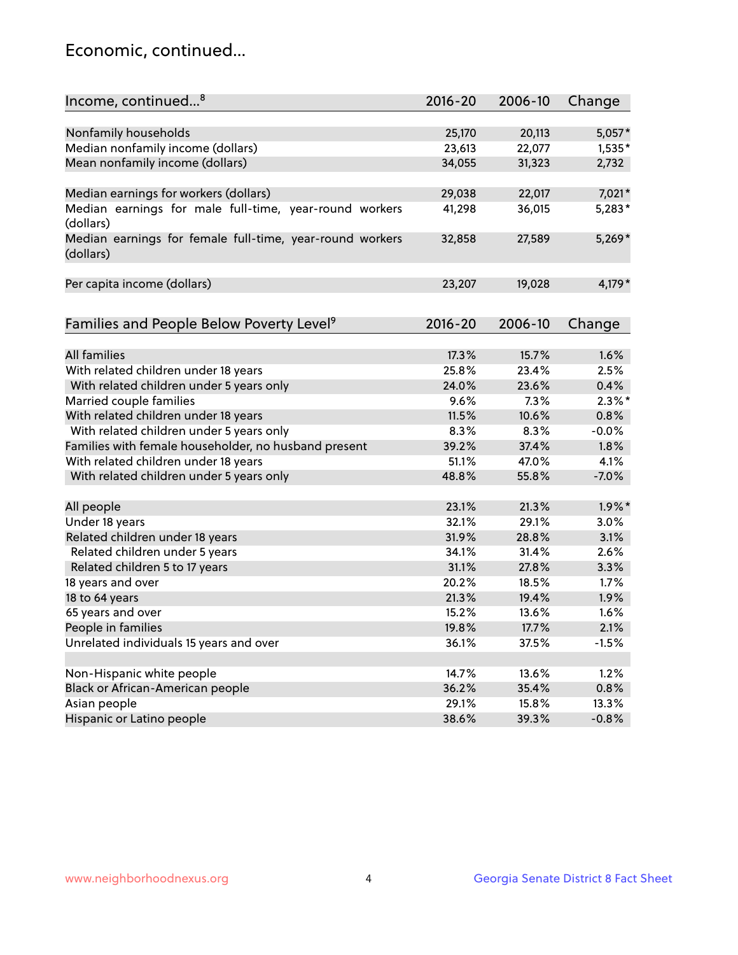#### Economic, continued...

| Income, continued <sup>8</sup>                                        | $2016 - 20$ | 2006-10 | Change    |
|-----------------------------------------------------------------------|-------------|---------|-----------|
|                                                                       |             |         |           |
| Nonfamily households                                                  | 25,170      | 20,113  | 5,057*    |
| Median nonfamily income (dollars)                                     | 23,613      | 22,077  | $1,535*$  |
| Mean nonfamily income (dollars)                                       | 34,055      | 31,323  | 2,732     |
|                                                                       |             |         |           |
| Median earnings for workers (dollars)                                 | 29,038      | 22,017  | 7,021*    |
| Median earnings for male full-time, year-round workers<br>(dollars)   | 41,298      | 36,015  | $5,283*$  |
| Median earnings for female full-time, year-round workers<br>(dollars) | 32,858      | 27,589  | $5,269*$  |
| Per capita income (dollars)                                           | 23,207      | 19,028  | $4,179*$  |
|                                                                       |             |         |           |
| Families and People Below Poverty Level <sup>9</sup>                  | $2016 - 20$ | 2006-10 | Change    |
|                                                                       |             |         |           |
| <b>All families</b>                                                   | 17.3%       | 15.7%   | 1.6%      |
| With related children under 18 years                                  | 25.8%       | 23.4%   | 2.5%      |
| With related children under 5 years only                              | 24.0%       | 23.6%   | 0.4%      |
| Married couple families                                               | 9.6%        | 7.3%    | $2.3\%$ * |
| With related children under 18 years                                  | 11.5%       | 10.6%   | 0.8%      |
| With related children under 5 years only                              | 8.3%        | 8.3%    | $-0.0%$   |
| Families with female householder, no husband present                  | 39.2%       | 37.4%   | 1.8%      |
| With related children under 18 years                                  | 51.1%       | 47.0%   | 4.1%      |
| With related children under 5 years only                              | 48.8%       | 55.8%   | $-7.0%$   |
| All people                                                            | 23.1%       | 21.3%   | $1.9\%$ * |
| Under 18 years                                                        | 32.1%       | 29.1%   | 3.0%      |
| Related children under 18 years                                       | 31.9%       | 28.8%   | 3.1%      |
| Related children under 5 years                                        | 34.1%       | 31.4%   | 2.6%      |
| Related children 5 to 17 years                                        | 31.1%       | 27.8%   | 3.3%      |
| 18 years and over                                                     | 20.2%       | 18.5%   | 1.7%      |
|                                                                       | 21.3%       | 19.4%   | 1.9%      |
| 18 to 64 years<br>65 years and over                                   | 15.2%       |         |           |
|                                                                       |             | 13.6%   | 1.6%      |
| People in families                                                    | 19.8%       | 17.7%   | 2.1%      |
| Unrelated individuals 15 years and over                               | 36.1%       | 37.5%   | $-1.5%$   |
|                                                                       | 14.7%       |         | 1.2%      |
| Non-Hispanic white people                                             |             | 13.6%   |           |
| Black or African-American people                                      | 36.2%       | 35.4%   | 0.8%      |
| Asian people                                                          | 29.1%       | 15.8%   | 13.3%     |
| Hispanic or Latino people                                             | 38.6%       | 39.3%   | $-0.8%$   |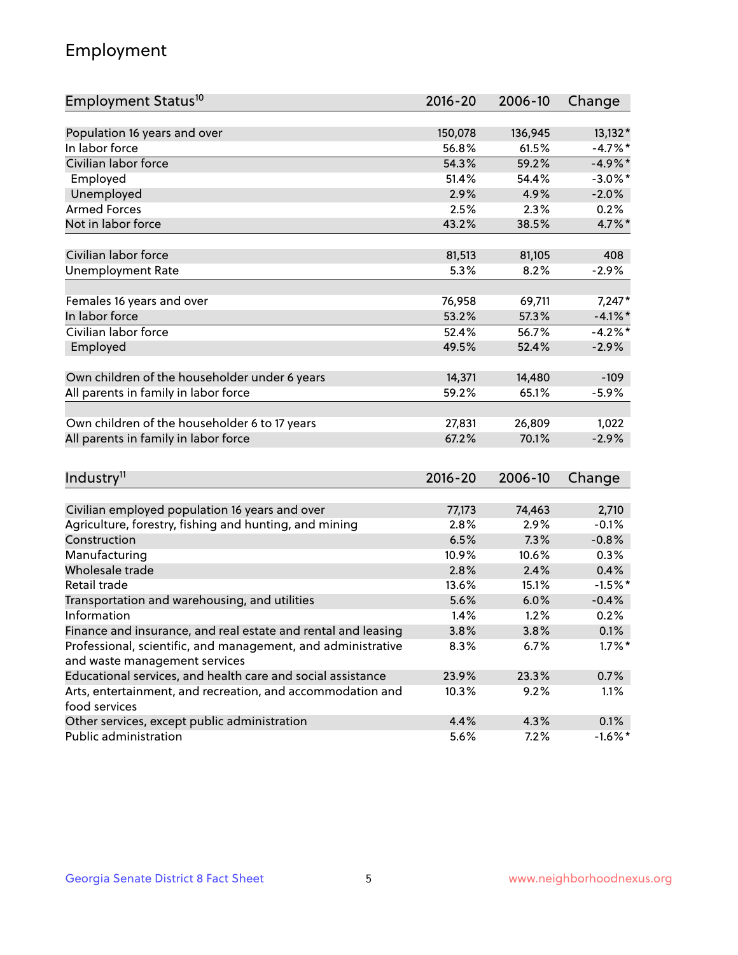# Employment

| Employment Status <sup>10</sup>                                             | $2016 - 20$ | 2006-10 | Change     |
|-----------------------------------------------------------------------------|-------------|---------|------------|
|                                                                             |             |         |            |
| Population 16 years and over                                                | 150,078     | 136,945 | 13,132*    |
| In labor force                                                              | 56.8%       | 61.5%   | $-4.7%$ *  |
| Civilian labor force                                                        | 54.3%       | 59.2%   | $-4.9\%$ * |
| Employed                                                                    | 51.4%       | 54.4%   | $-3.0\%$ * |
| Unemployed                                                                  | 2.9%        | 4.9%    | $-2.0%$    |
| <b>Armed Forces</b>                                                         | 2.5%        | 2.3%    | 0.2%       |
| Not in labor force                                                          | 43.2%       | 38.5%   | 4.7%*      |
| Civilian labor force                                                        | 81,513      | 81,105  | 408        |
| <b>Unemployment Rate</b>                                                    | 5.3%        | 8.2%    | $-2.9%$    |
|                                                                             |             |         |            |
| Females 16 years and over                                                   | 76,958      | 69,711  | $7,247*$   |
| In labor force                                                              | 53.2%       | 57.3%   | $-4.1\%$ * |
| Civilian labor force                                                        | 52.4%       | 56.7%   | $-4.2%$ *  |
| Employed                                                                    | 49.5%       | 52.4%   | $-2.9%$    |
|                                                                             |             |         |            |
| Own children of the householder under 6 years                               | 14,371      | 14,480  | $-109$     |
| All parents in family in labor force                                        | 59.2%       | 65.1%   | $-5.9%$    |
|                                                                             |             |         |            |
| Own children of the householder 6 to 17 years                               | 27,831      | 26,809  | 1,022      |
| All parents in family in labor force                                        | 67.2%       | 70.1%   | $-2.9%$    |
|                                                                             |             |         |            |
| Industry <sup>11</sup>                                                      | $2016 - 20$ | 2006-10 | Change     |
|                                                                             |             |         |            |
| Civilian employed population 16 years and over                              | 77,173      | 74,463  | 2,710      |
| Agriculture, forestry, fishing and hunting, and mining                      | 2.8%        | 2.9%    | $-0.1%$    |
| Construction                                                                | 6.5%        | 7.3%    | $-0.8%$    |
| Manufacturing                                                               | 10.9%       | 10.6%   | 0.3%       |
| Wholesale trade                                                             | 2.8%        | 2.4%    | 0.4%       |
| Retail trade                                                                | 13.6%       | 15.1%   | $-1.5%$ *  |
| Transportation and warehousing, and utilities                               | 5.6%        | 6.0%    | $-0.4%$    |
| Information                                                                 | 1.4%        | 1.2%    | 0.2%       |
| Finance and insurance, and real estate and rental and leasing               | 3.8%        | 3.8%    | 0.1%       |
| Professional, scientific, and management, and administrative                | 8.3%        | 6.7%    | $1.7\%$ *  |
| and waste management services                                               |             |         |            |
| Educational services, and health care and social assistance                 | 23.9%       | 23.3%   | 0.7%       |
| Arts, entertainment, and recreation, and accommodation and<br>food services | 10.3%       | 9.2%    | 1.1%       |
| Other services, except public administration                                | 4.4%        | 4.3%    | 0.1%       |
| Public administration                                                       | 5.6%        | 7.2%    | $-1.6\%$ * |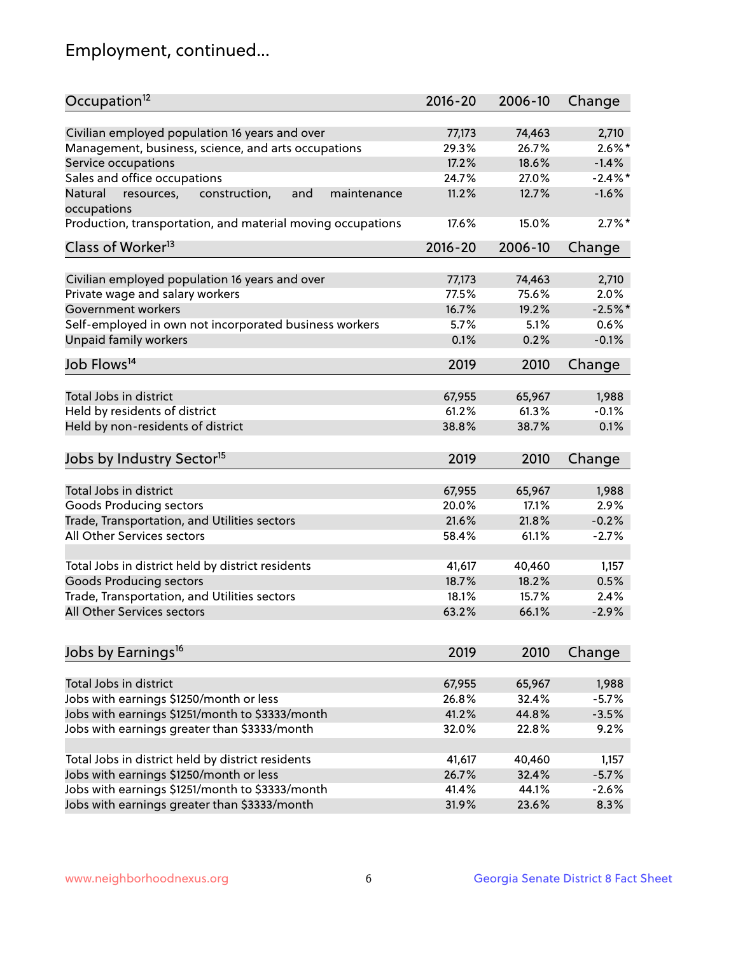# Employment, continued...

| Occupation <sup>12</sup>                                     | $2016 - 20$ | 2006-10 | Change     |
|--------------------------------------------------------------|-------------|---------|------------|
| Civilian employed population 16 years and over               | 77,173      | 74,463  | 2,710      |
| Management, business, science, and arts occupations          | 29.3%       | 26.7%   | $2.6\%$ *  |
| Service occupations                                          | 17.2%       | 18.6%   | $-1.4%$    |
| Sales and office occupations                                 | 24.7%       | 27.0%   | $-2.4\%$ * |
| Natural<br>and<br>resources,<br>construction,<br>maintenance | 11.2%       | 12.7%   | $-1.6%$    |
| occupations                                                  |             |         |            |
| Production, transportation, and material moving occupations  | 17.6%       | 15.0%   | $2.7\%$ *  |
| Class of Worker <sup>13</sup>                                | $2016 - 20$ | 2006-10 | Change     |
| Civilian employed population 16 years and over               | 77,173      | 74,463  | 2,710      |
| Private wage and salary workers                              | 77.5%       | 75.6%   | 2.0%       |
| Government workers                                           | 16.7%       | 19.2%   | $-2.5%$ *  |
| Self-employed in own not incorporated business workers       | 5.7%        | 5.1%    | 0.6%       |
| Unpaid family workers                                        | 0.1%        | 0.2%    | $-0.1%$    |
| Job Flows <sup>14</sup>                                      | 2019        | 2010    | Change     |
|                                                              |             |         |            |
| Total Jobs in district                                       | 67,955      | 65,967  | 1,988      |
| Held by residents of district                                | 61.2%       | 61.3%   | $-0.1%$    |
| Held by non-residents of district                            | 38.8%       | 38.7%   | 0.1%       |
| Jobs by Industry Sector <sup>15</sup>                        | 2019        | 2010    | Change     |
| Total Jobs in district                                       | 67,955      | 65,967  | 1,988      |
| Goods Producing sectors                                      | 20.0%       | 17.1%   | 2.9%       |
| Trade, Transportation, and Utilities sectors                 | 21.6%       | 21.8%   | $-0.2%$    |
| All Other Services sectors                                   | 58.4%       | 61.1%   | $-2.7%$    |
|                                                              |             |         |            |
| Total Jobs in district held by district residents            | 41,617      | 40,460  | 1,157      |
| <b>Goods Producing sectors</b>                               | 18.7%       | 18.2%   | 0.5%       |
| Trade, Transportation, and Utilities sectors                 | 18.1%       | 15.7%   | 2.4%       |
| All Other Services sectors                                   | 63.2%       | 66.1%   | $-2.9%$    |
|                                                              |             |         |            |
| Jobs by Earnings <sup>16</sup>                               | 2019        | 2010    | Change     |
| Total Jobs in district                                       | 67,955      | 65,967  | 1,988      |
| Jobs with earnings \$1250/month or less                      | 26.8%       | 32.4%   | $-5.7%$    |
| Jobs with earnings \$1251/month to \$3333/month              | 41.2%       | 44.8%   | $-3.5%$    |
| Jobs with earnings greater than \$3333/month                 | 32.0%       | 22.8%   | 9.2%       |
|                                                              |             |         |            |
| Total Jobs in district held by district residents            | 41,617      | 40,460  | 1,157      |
| Jobs with earnings \$1250/month or less                      | 26.7%       | 32.4%   | $-5.7%$    |
| Jobs with earnings \$1251/month to \$3333/month              | 41.4%       | 44.1%   | $-2.6%$    |
| Jobs with earnings greater than \$3333/month                 | 31.9%       | 23.6%   | 8.3%       |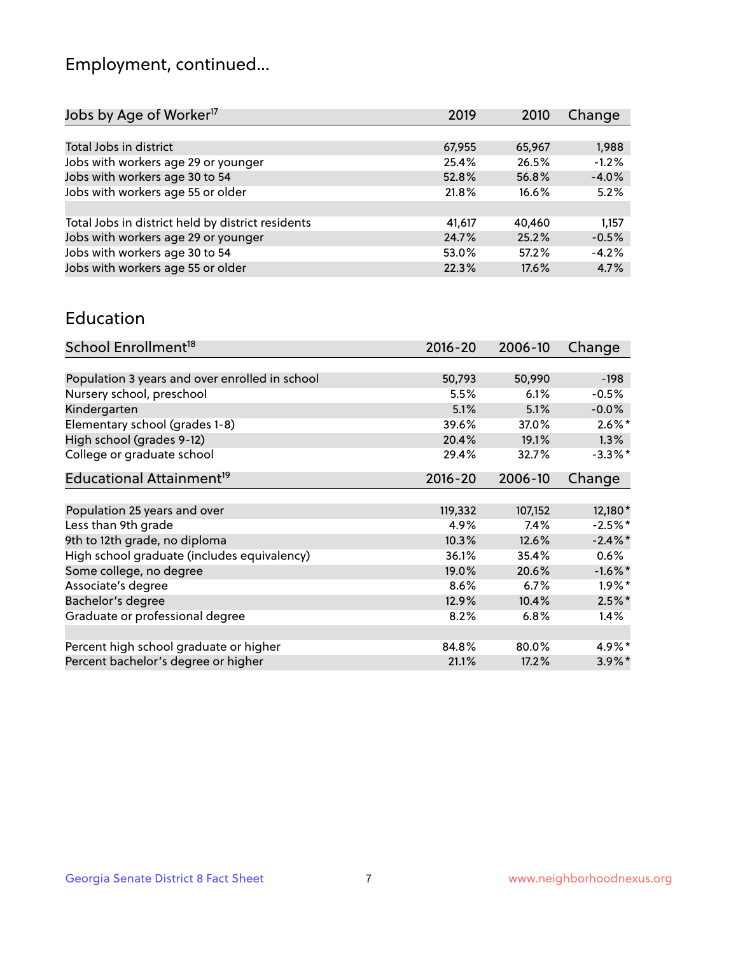# Employment, continued...

| 2019   | 2010   | Change  |
|--------|--------|---------|
|        |        |         |
| 67,955 | 65,967 | 1,988   |
| 25.4%  | 26.5%  | $-1.2%$ |
| 52.8%  | 56.8%  | $-4.0%$ |
| 21.8%  | 16.6%  | 5.2%    |
|        |        |         |
| 41,617 | 40.460 | 1,157   |
| 24.7%  | 25.2%  | $-0.5%$ |
| 53.0%  | 57.2%  | $-4.2%$ |
| 22.3%  | 17.6%  | 4.7%    |
|        |        |         |

#### Education

| School Enrollment <sup>18</sup>                | $2016 - 20$ | 2006-10 | Change     |
|------------------------------------------------|-------------|---------|------------|
|                                                |             |         |            |
| Population 3 years and over enrolled in school | 50,793      | 50,990  | $-198$     |
| Nursery school, preschool                      | 5.5%        | 6.1%    | $-0.5%$    |
| Kindergarten                                   | 5.1%        | 5.1%    | $-0.0%$    |
| Elementary school (grades 1-8)                 | 39.6%       | 37.0%   | $2.6\%$ *  |
| High school (grades 9-12)                      | 20.4%       | 19.1%   | 1.3%       |
| College or graduate school                     | 29.4%       | 32.7%   | $-3.3\%$ * |
| Educational Attainment <sup>19</sup>           | $2016 - 20$ | 2006-10 | Change     |
|                                                |             |         |            |
| Population 25 years and over                   | 119,332     | 107,152 | 12,180*    |
| Less than 9th grade                            | 4.9%        | 7.4%    | $-2.5%$ *  |
| 9th to 12th grade, no diploma                  | 10.3%       | 12.6%   | $-2.4\%$ * |
| High school graduate (includes equivalency)    | 36.1%       | 35.4%   | $0.6\%$    |
| Some college, no degree                        | 19.0%       | 20.6%   | $-1.6\%$ * |
| Associate's degree                             | 8.6%        | 6.7%    | $1.9\%$ *  |
| Bachelor's degree                              | 12.9%       | 10.4%   | $2.5%$ *   |
| Graduate or professional degree                | 8.2%        | 6.8%    | $1.4\%$    |
|                                                |             |         |            |
| Percent high school graduate or higher         | 84.8%       | 80.0%   | 4.9%*      |
| Percent bachelor's degree or higher            | 21.1%       | 17.2%   | $3.9\%$ *  |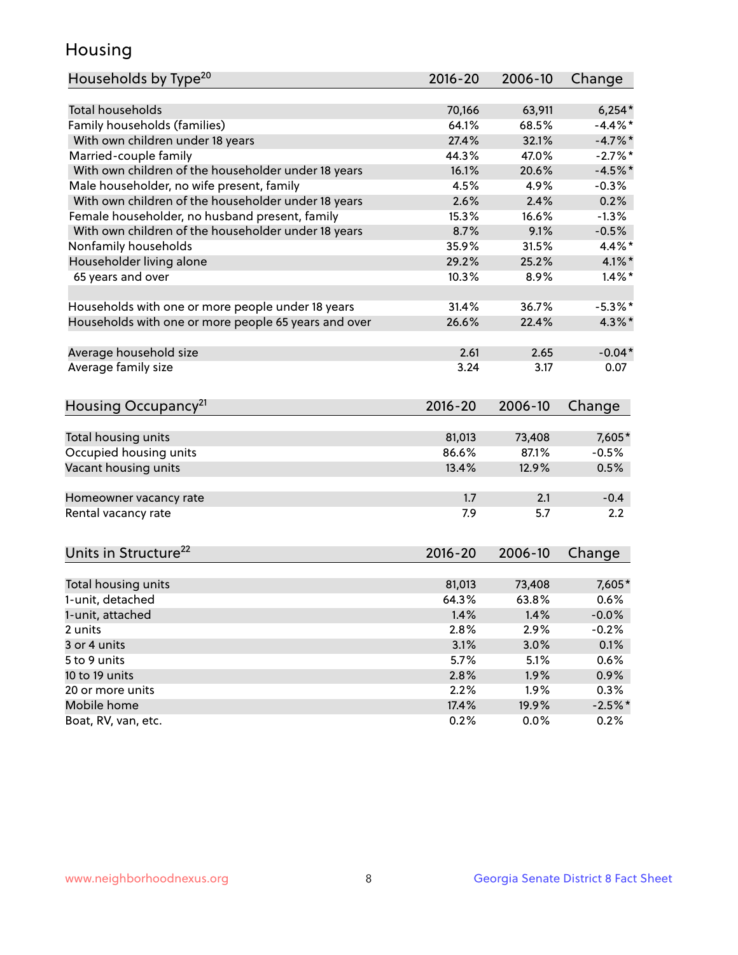#### Housing

| Households by Type <sup>20</sup>                     | 2016-20     | 2006-10 | Change     |
|------------------------------------------------------|-------------|---------|------------|
|                                                      |             |         |            |
| <b>Total households</b>                              | 70,166      | 63,911  | $6,254*$   |
| Family households (families)                         | 64.1%       | 68.5%   | $-4.4\%$ * |
| With own children under 18 years                     | 27.4%       | 32.1%   | $-4.7%$    |
| Married-couple family                                | 44.3%       | 47.0%   | $-2.7\%$ * |
| With own children of the householder under 18 years  | 16.1%       | 20.6%   | $-4.5%$ *  |
| Male householder, no wife present, family            | 4.5%        | 4.9%    | $-0.3%$    |
| With own children of the householder under 18 years  | 2.6%        | 2.4%    | 0.2%       |
| Female householder, no husband present, family       | 15.3%       | 16.6%   | $-1.3%$    |
| With own children of the householder under 18 years  | 8.7%        | 9.1%    | $-0.5%$    |
| Nonfamily households                                 | 35.9%       | 31.5%   | $4.4\%$    |
| Householder living alone                             | 29.2%       | 25.2%   | 4.1% $*$   |
| 65 years and over                                    | 10.3%       | 8.9%    | $1.4\%$ *  |
| Households with one or more people under 18 years    | 31.4%       | 36.7%   | $-5.3\%$ * |
| Households with one or more people 65 years and over | 26.6%       | 22.4%   | $4.3\%$ *  |
| Average household size                               | 2.61        | 2.65    | $-0.04*$   |
| Average family size                                  | 3.24        | 3.17    | 0.07       |
|                                                      |             |         |            |
| Housing Occupancy <sup>21</sup>                      | $2016 - 20$ | 2006-10 | Change     |
| Total housing units                                  | 81,013      | 73,408  | 7,605*     |
| Occupied housing units                               | 86.6%       | 87.1%   | $-0.5%$    |
| Vacant housing units                                 | 13.4%       | 12.9%   | 0.5%       |
|                                                      |             |         |            |
| Homeowner vacancy rate                               | 1.7         | 2.1     | $-0.4$     |
| Rental vacancy rate                                  | 7.9         | 5.7     | 2.2        |
| Units in Structure <sup>22</sup>                     | $2016 - 20$ | 2006-10 | Change     |
| Total housing units                                  | 81,013      | 73,408  | 7,605*     |
| 1-unit, detached                                     | 64.3%       | 63.8%   | 0.6%       |
| 1-unit, attached                                     | 1.4%        | 1.4%    | $-0.0%$    |
| 2 units                                              | 2.8%        | 2.9%    | $-0.2%$    |
| 3 or 4 units                                         | 3.1%        | 3.0%    | 0.1%       |
| 5 to 9 units                                         | 5.7%        | 5.1%    | 0.6%       |
|                                                      |             |         |            |
| 10 to 19 units                                       | 2.8%        | 1.9%    | 0.9%       |
| 20 or more units                                     | 2.2%        | 1.9%    | 0.3%       |
| Mobile home                                          | 17.4%       | 19.9%   | $-2.5%$ *  |
| Boat, RV, van, etc.                                  | 0.2%        | 0.0%    | 0.2%       |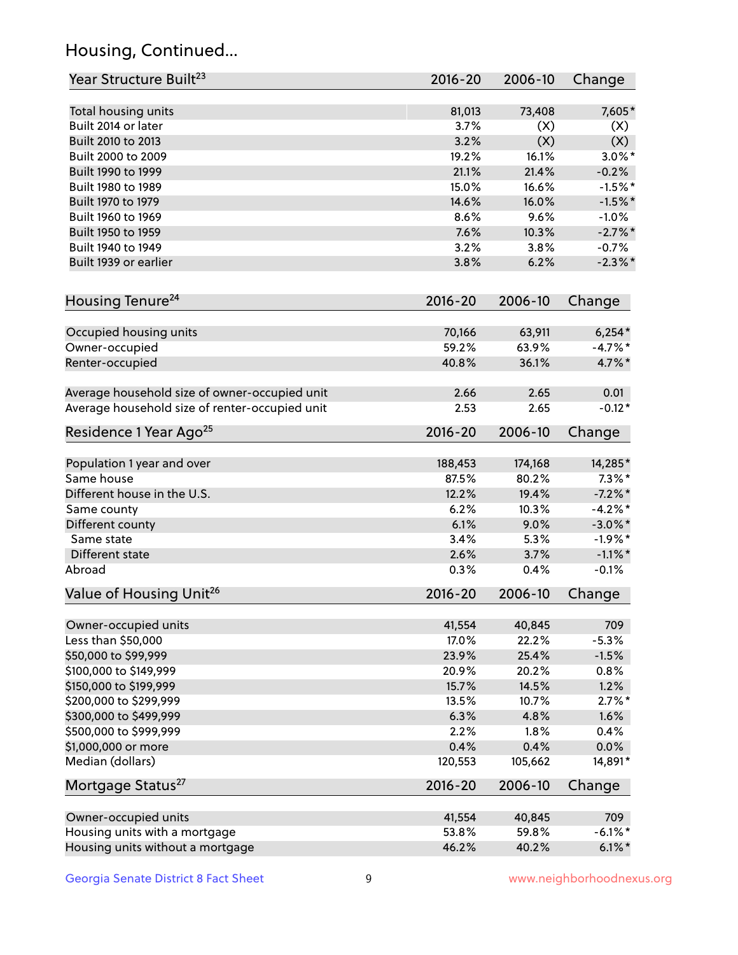# Housing, Continued...

| Year Structure Built <sup>23</sup>             | 2016-20     | 2006-10 | Change     |
|------------------------------------------------|-------------|---------|------------|
| Total housing units                            | 81,013      | 73,408  | 7,605*     |
| Built 2014 or later                            | 3.7%        | (X)     | (X)        |
| Built 2010 to 2013                             | 3.2%        | (X)     | (X)        |
| Built 2000 to 2009                             | 19.2%       | 16.1%   | $3.0\%$ *  |
| Built 1990 to 1999                             | 21.1%       | 21.4%   | $-0.2%$    |
| Built 1980 to 1989                             | 15.0%       | 16.6%   | $-1.5%$ *  |
| Built 1970 to 1979                             | 14.6%       | 16.0%   | $-1.5%$ *  |
| Built 1960 to 1969                             | 8.6%        | 9.6%    | $-1.0%$    |
| Built 1950 to 1959                             | 7.6%        | 10.3%   | $-2.7%$ *  |
| Built 1940 to 1949                             | 3.2%        | 3.8%    | $-0.7%$    |
| Built 1939 or earlier                          | 3.8%        | 6.2%    | $-2.3\%$ * |
| Housing Tenure <sup>24</sup>                   | $2016 - 20$ | 2006-10 | Change     |
|                                                |             |         |            |
| Occupied housing units                         | 70,166      | 63,911  | $6,254*$   |
| Owner-occupied                                 | 59.2%       | 63.9%   | $-4.7\%$ * |
| Renter-occupied                                | 40.8%       | 36.1%   | 4.7%*      |
| Average household size of owner-occupied unit  | 2.66        | 2.65    | 0.01       |
| Average household size of renter-occupied unit | 2.53        | 2.65    | $-0.12*$   |
| Residence 1 Year Ago <sup>25</sup>             | $2016 - 20$ | 2006-10 | Change     |
| Population 1 year and over                     | 188,453     | 174,168 | 14,285*    |
| Same house                                     | 87.5%       | 80.2%   | $7.3\%$ *  |
| Different house in the U.S.                    | 12.2%       | 19.4%   | $-7.2\%$ * |
| Same county                                    | 6.2%        | 10.3%   | $-4.2%$ *  |
| Different county                               | 6.1%        | 9.0%    | $-3.0\%$ * |
| Same state                                     | 3.4%        | 5.3%    | $-1.9%$ *  |
| Different state                                | 2.6%        | 3.7%    | $-1.1\%$ * |
| Abroad                                         | 0.3%        | 0.4%    | $-0.1%$    |
| Value of Housing Unit <sup>26</sup>            | $2016 - 20$ | 2006-10 | Change     |
|                                                |             |         |            |
| Owner-occupied units                           | 41,554      | 40,845  | 709        |
| Less than \$50,000                             | 17.0%       | 22.2%   | $-5.3%$    |
| \$50,000 to \$99,999                           | 23.9%       | 25.4%   | $-1.5%$    |
| \$100,000 to \$149,999                         | 20.9%       | 20.2%   | 0.8%       |
| \$150,000 to \$199,999                         | 15.7%       | 14.5%   | 1.2%       |
| \$200,000 to \$299,999                         | 13.5%       | 10.7%   | $2.7\%$ *  |
| \$300,000 to \$499,999                         | 6.3%        | 4.8%    | 1.6%       |
| \$500,000 to \$999,999                         | 2.2%        | 1.8%    | 0.4%       |
| \$1,000,000 or more                            | 0.4%        | 0.4%    | 0.0%       |
| Median (dollars)                               | 120,553     | 105,662 | 14,891*    |
| Mortgage Status <sup>27</sup>                  | $2016 - 20$ | 2006-10 | Change     |
| Owner-occupied units                           | 41,554      | 40,845  | 709        |
| Housing units with a mortgage                  | 53.8%       | 59.8%   | $-6.1\%$ * |
| Housing units without a mortgage               | 46.2%       | 40.2%   | $6.1\%$ *  |
|                                                |             |         |            |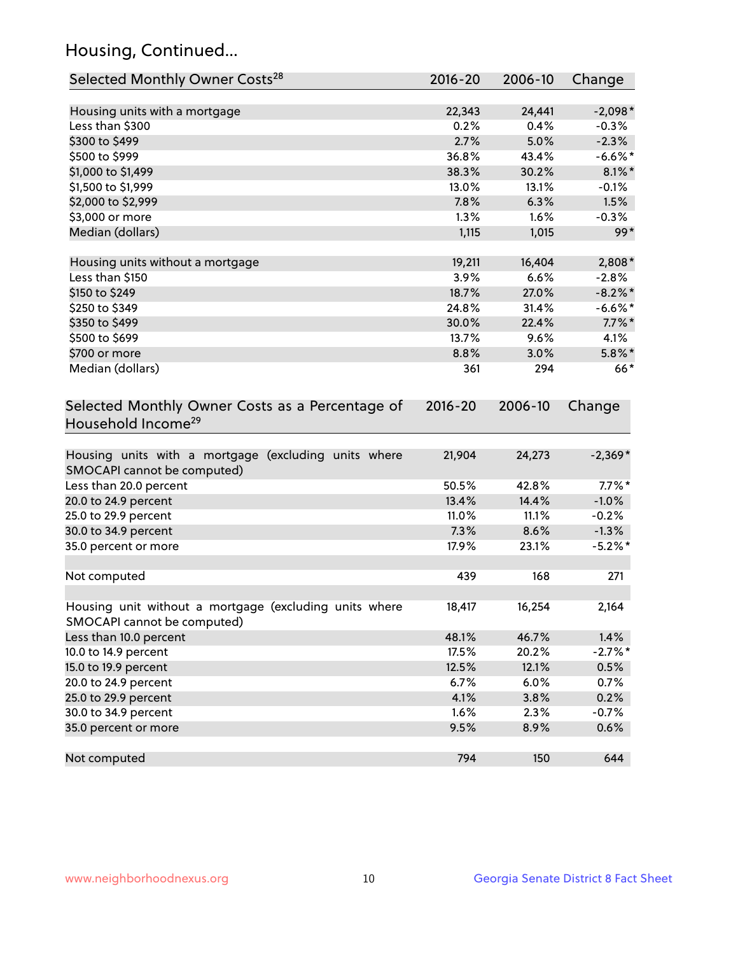# Housing, Continued...

| Selected Monthly Owner Costs <sup>28</sup>                                            | 2016-20     | 2006-10 | Change     |
|---------------------------------------------------------------------------------------|-------------|---------|------------|
| Housing units with a mortgage                                                         | 22,343      | 24,441  | $-2,098*$  |
| Less than \$300                                                                       | 0.2%        | 0.4%    | $-0.3%$    |
| \$300 to \$499                                                                        | 2.7%        | 5.0%    | $-2.3%$    |
| \$500 to \$999                                                                        | 36.8%       | 43.4%   | $-6.6\%$ * |
| \$1,000 to \$1,499                                                                    | 38.3%       | 30.2%   | $8.1\%$ *  |
| \$1,500 to \$1,999                                                                    | 13.0%       | 13.1%   | $-0.1%$    |
| \$2,000 to \$2,999                                                                    | 7.8%        | 6.3%    | 1.5%       |
| \$3,000 or more                                                                       | 1.3%        | 1.6%    | $-0.3%$    |
| Median (dollars)                                                                      | 1,115       | 1,015   | $99*$      |
| Housing units without a mortgage                                                      | 19,211      | 16,404  | 2,808*     |
| Less than \$150                                                                       | 3.9%        | 6.6%    | $-2.8%$    |
| \$150 to \$249                                                                        | 18.7%       | 27.0%   | $-8.2\%$ * |
| \$250 to \$349                                                                        | 24.8%       | 31.4%   | $-6.6%$ *  |
| \$350 to \$499                                                                        | 30.0%       | 22.4%   | $7.7\%$ *  |
| \$500 to \$699                                                                        | 13.7%       | 9.6%    | 4.1%       |
| \$700 or more                                                                         | 8.8%        | 3.0%    | $5.8\%$ *  |
| Median (dollars)                                                                      | 361         | 294     | $66*$      |
| Selected Monthly Owner Costs as a Percentage of<br>Household Income <sup>29</sup>     | $2016 - 20$ | 2006-10 | Change     |
| Housing units with a mortgage (excluding units where<br>SMOCAPI cannot be computed)   | 21,904      | 24,273  | $-2,369*$  |
| Less than 20.0 percent                                                                | 50.5%       | 42.8%   | $7.7\%$ *  |
| 20.0 to 24.9 percent                                                                  | 13.4%       | 14.4%   | $-1.0%$    |
| 25.0 to 29.9 percent                                                                  | 11.0%       | 11.1%   | $-0.2%$    |
| 30.0 to 34.9 percent                                                                  | 7.3%        | 8.6%    | $-1.3%$    |
| 35.0 percent or more                                                                  | 17.9%       | 23.1%   | $-5.2\%$ * |
| Not computed                                                                          | 439         | 168     | 271        |
| Housing unit without a mortgage (excluding units where<br>SMOCAPI cannot be computed) | 18,417      | 16,254  | 2,164      |
| Less than 10.0 percent                                                                | 48.1%       | 46.7%   | 1.4%       |
| 10.0 to 14.9 percent                                                                  | 17.5%       | 20.2%   | $-2.7%$ *  |
| 15.0 to 19.9 percent                                                                  | 12.5%       | 12.1%   | 0.5%       |
| 20.0 to 24.9 percent                                                                  | 6.7%        | 6.0%    | 0.7%       |
| 25.0 to 29.9 percent                                                                  | 4.1%        | 3.8%    | 0.2%       |
| 30.0 to 34.9 percent                                                                  | 1.6%        | 2.3%    | $-0.7%$    |
| 35.0 percent or more                                                                  | 9.5%        | 8.9%    | 0.6%       |
| Not computed                                                                          | 794         | 150     | 644        |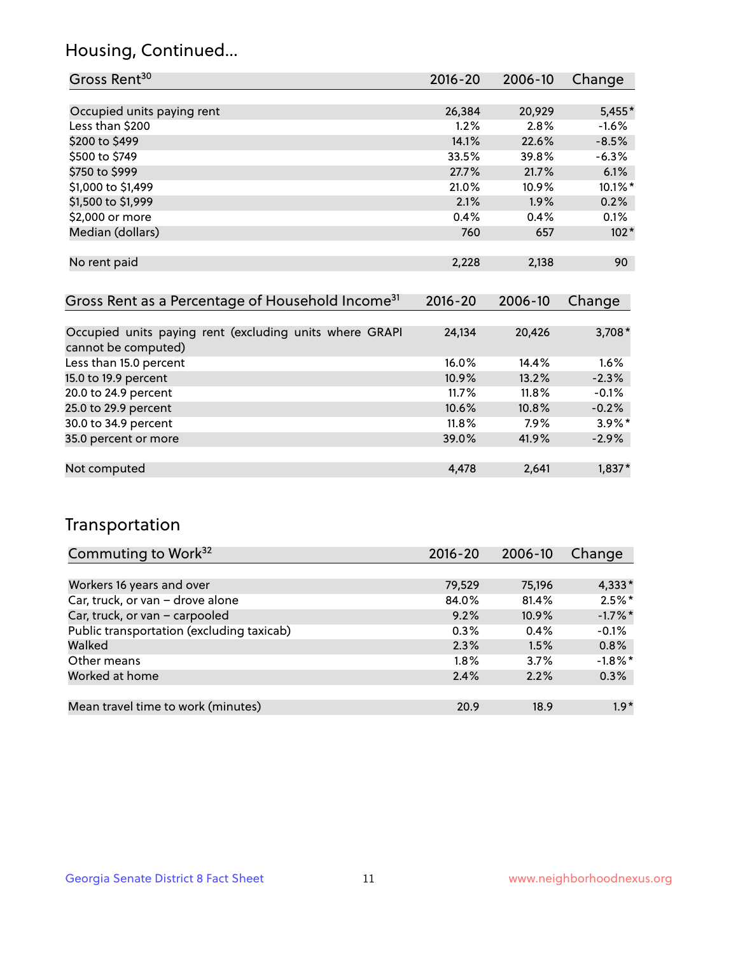#### Housing, Continued...

| Gross Rent <sup>30</sup>                                     | 2016-20     | 2006-10 | Change    |
|--------------------------------------------------------------|-------------|---------|-----------|
|                                                              |             |         |           |
| Occupied units paying rent                                   | 26,384      | 20,929  | $5,455*$  |
| Less than \$200                                              | 1.2%        | 2.8%    | $-1.6%$   |
| \$200 to \$499                                               | 14.1%       | 22.6%   | $-8.5%$   |
| \$500 to \$749                                               | 33.5%       | 39.8%   | $-6.3%$   |
| \$750 to \$999                                               | 27.7%       | 21.7%   | 6.1%      |
| \$1,000 to \$1,499                                           | 21.0%       | 10.9%   | 10.1%*    |
| \$1,500 to \$1,999                                           | 2.1%        | 1.9%    | 0.2%      |
| \$2,000 or more                                              | 0.4%        | 0.4%    | 0.1%      |
| Median (dollars)                                             | 760         | 657     | $102*$    |
|                                                              |             |         |           |
| No rent paid                                                 | 2,228       | 2,138   | 90        |
|                                                              |             |         |           |
| Gross Rent as a Percentage of Household Income <sup>31</sup> | $2016 - 20$ | 2006-10 | Change    |
|                                                              |             |         |           |
| Occupied units paying rent (excluding units where GRAPI      | 24,134      | 20,426  | $3,708*$  |
| cannot be computed)                                          |             |         |           |
| Less than 15.0 percent                                       | 16.0%       | 14.4%   | 1.6%      |
| 15.0 to 19.9 percent                                         | 10.9%       | 13.2%   | $-2.3%$   |
| 20.0 to 24.9 percent                                         | 11.7%       | 11.8%   | $-0.1%$   |
| 25.0 to 29.9 percent                                         | 10.6%       | 10.8%   | $-0.2%$   |
| 30.0 to 34.9 percent                                         | 11.8%       | $7.9\%$ | $3.9\%$ * |
| 35.0 percent or more                                         | 39.0%       | 41.9%   | $-2.9%$   |

#### Not computed 2,641 1,837\*

#### Transportation

| Commuting to Work <sup>32</sup>           | 2016-20 | 2006-10 | Change     |
|-------------------------------------------|---------|---------|------------|
|                                           |         |         |            |
| Workers 16 years and over                 | 79,529  | 75,196  | $4,333*$   |
| Car, truck, or van - drove alone          | 84.0%   | 81.4%   | $2.5\%$ *  |
| Car, truck, or van - carpooled            | 9.2%    | 10.9%   | $-1.7\%$ * |
| Public transportation (excluding taxicab) | 0.3%    | 0.4%    | $-0.1%$    |
| Walked                                    | 2.3%    | 1.5%    | 0.8%       |
| Other means                               | $1.8\%$ | 3.7%    | $-1.8\%$ * |
| Worked at home                            | 2.4%    | 2.2%    | 0.3%       |
|                                           |         |         |            |
| Mean travel time to work (minutes)        | 20.9    | 18.9    | $1.9*$     |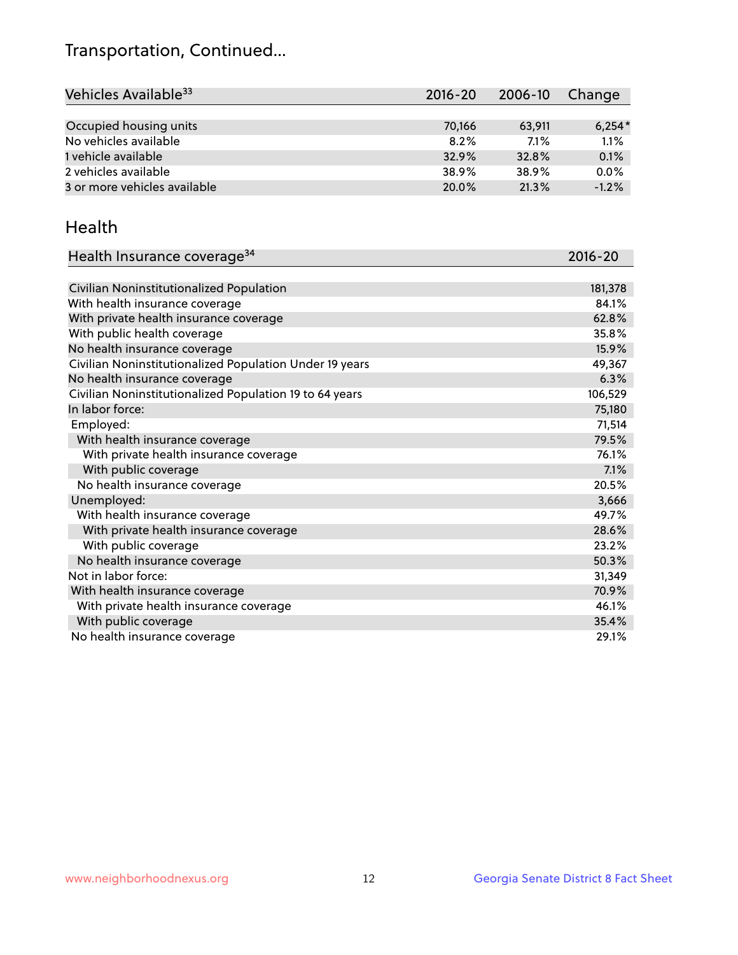# Transportation, Continued...

| Vehicles Available <sup>33</sup> | $2016 - 20$ | 2006-10 | Change   |
|----------------------------------|-------------|---------|----------|
|                                  |             |         |          |
| Occupied housing units           | 70,166      | 63,911  | $6,254*$ |
| No vehicles available            | 8.2%        | $7.1\%$ | 1.1%     |
| 1 vehicle available              | 32.9%       | 32.8%   | 0.1%     |
| 2 vehicles available             | 38.9%       | 38.9%   | 0.0%     |
| 3 or more vehicles available     | 20.0%       | 21.3%   | $-1.2%$  |

#### Health

| Health Insurance coverage <sup>34</sup>                 | 2016-20 |
|---------------------------------------------------------|---------|
|                                                         |         |
| Civilian Noninstitutionalized Population                | 181,378 |
| With health insurance coverage                          | 84.1%   |
| With private health insurance coverage                  | 62.8%   |
| With public health coverage                             | 35.8%   |
| No health insurance coverage                            | 15.9%   |
| Civilian Noninstitutionalized Population Under 19 years | 49,367  |
| No health insurance coverage                            | 6.3%    |
| Civilian Noninstitutionalized Population 19 to 64 years | 106,529 |
| In labor force:                                         | 75,180  |
| Employed:                                               | 71,514  |
| With health insurance coverage                          | 79.5%   |
| With private health insurance coverage                  | 76.1%   |
| With public coverage                                    | 7.1%    |
| No health insurance coverage                            | 20.5%   |
| Unemployed:                                             | 3,666   |
| With health insurance coverage                          | 49.7%   |
| With private health insurance coverage                  | 28.6%   |
| With public coverage                                    | 23.2%   |
| No health insurance coverage                            | 50.3%   |
| Not in labor force:                                     | 31,349  |
| With health insurance coverage                          | 70.9%   |
| With private health insurance coverage                  | 46.1%   |
| With public coverage                                    | 35.4%   |
| No health insurance coverage                            | 29.1%   |